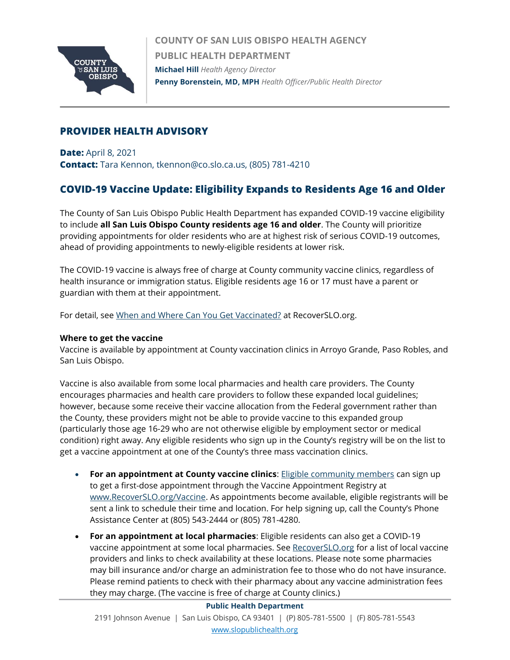

**COUNTY OF SAN LUIS OBISPO HEALTH AGENCY PUBLIC HEALTH DEPARTMENT Michael Hill** *Health Agency Director* **Penny Borenstein, MD, MPH** *Health Officer/Public Health Director*

## **PROVIDER HEALTH ADVISORY**

**Date:** April 8, 2021 **Contact:** Tara Kennon, tkennon@co.slo.ca.us, (805) 781-4210

# **COVID-19 Vaccine Update: Eligibility Expands to Residents Age 16 and Older**

The County of San Luis Obispo Public Health Department has expanded COVID-19 vaccine eligibility to include **all San Luis Obispo County residents age 16 and older**. The County will prioritize providing appointments for older residents who are at highest risk of serious COVID-19 outcomes, ahead of providing appointments to newly-eligible residents at lower risk.

The COVID-19 vaccine is always free of charge at County community vaccine clinics, regardless of health insurance or immigration status. Eligible residents age 16 or 17 must have a parent or guardian with them at their appointment.

For detail, see [When and Where Can You Get Vaccinated?](https://www.recoverslo.org/en/when-and-where-can-you-get-vaccinated.aspx) at RecoverSLO.org.

#### **Where to get the vaccine**

Vaccine is available by appointment at County vaccination clinics in Arroyo Grande, Paso Robles, and San Luis Obispo.

Vaccine is also available from some local pharmacies and health care providers. The County encourages pharmacies and health care providers to follow these expanded local guidelines; however, because some receive their vaccine allocation from the Federal government rather than the County, these providers might not be able to provide vaccine to this expanded group (particularly those age 16-29 who are not otherwise eligible by employment sector or medical condition) right away. Any eligible residents who sign up in the County's registry will be on the list to get a vaccine appointment at one of the County's three mass vaccination clinics.

- **For an appointment at County vaccine clinics**: Eligible [community](https://www.recoverslo.org/en/when-and-where-can-you-get-vaccinated.aspx) members can sign up to get a first-dose appointment through the Vaccine Appointment Registry at [www.RecoverSLO.org/Vaccine.](http://www.recoverslo.org/Vaccine) As appointments become available, eligible registrants will be sent a link to schedule their time and location. For help signing up, call the County's Phone Assistance Center at (805) 543-2444 or (805) 781-4280.
- **For an appointment at local pharmacies**: Eligible residents can also get a COVID-19 vaccine appointment at some local pharmacies. See [RecoverSLO.org](https://www.recoverslo.org/en/when-and-where-can-you-get-vaccinated.aspx) for a list of local vaccine providers and links to check availability at these locations. Please note some pharmacies may bill insurance and/or charge an administration fee to those who do not have insurance. Please remind patients to check with their pharmacy about any vaccine administration fees they may charge. (The vaccine is free of charge at County clinics.)

#### **Public Health Department**

2191 Johnson Avenue | San Luis Obispo, CA 93401 | (P) 805-781-5500 | (F) 805-781-5543 [www.slopublichealth.org](file://///wings/Health%20Agency/PH/HA_Letterhead/HA_Letterhead_Effective%20Jan%202017/www.slopublichealth.org)